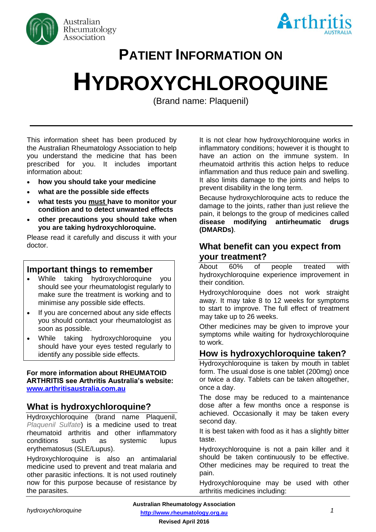



# **PATIENT INFORMATION ON**

# **HYDROXYCHLOROQUINE**

(Brand name: Plaquenil)

**(Brand name: Plaquenil)**

This information sheet has been produced by the Australian Rheumatology Association to help you understand the medicine that has been prescribed for you. It includes important information about:

- **how you should take your medicine**
- **what are the possible side effects**
- **what tests you must have to monitor your condition and to detect unwanted effects**
- **other precautions you should take when you are taking hydroxychloroquine.**

Please read it carefully and discuss it with your doctor.

# **Important things to remember**

- While taking hydroxychloroquine you should see your rheumatologist regularly to make sure the treatment is working and to minimise any possible side effects.
- If you are concerned about any side effects you should contact your rheumatologist as soon as possible.
- While taking hydroxychloroquine you should have your eyes tested regularly to identify any possible side effects.

#### **For more information about RHEUMATOID ARTHRITIS see Arthritis Australia's website: [www.arthritisaustralia.com.au](http://www.arthritisaustralia.com.au/)**

# **What is hydroxychloroquine?**

Hydroxychloroquine (brand name Plaquenil, *Plaquenil Sulfate*) is a medicine used to treat rheumatoid arthritis and other inflammatory conditions such as systemic lupus erythematosus (SLE/Lupus).

Hydroxychloroquine is also an antimalarial medicine used to prevent and treat malaria and other parasitic infections. It is not used routinely now for this purpose because of resistance by the parasites.

It is not clear how hydroxychloroquine works in inflammatory conditions; however it is thought to have an action on the immune system. In rheumatoid arthritis this action helps to reduce inflammation and thus reduce pain and swelling. It also limits damage to the joints and helps to prevent disability in the long term.

Because hydroxychloroquine acts to reduce the damage to the joints, rather than just relieve the pain, it belongs to the group of medicines called **disease modifying antirheumatic drugs (DMARDs)**.

# **What benefit can you expect from your treatment?**

About 60% of people treated with hydroxychloroquine experience improvement in their condition.

Hydroxychloroquine does not work straight away. It may take 8 to 12 weeks for symptoms to start to improve. The full effect of treatment may take up to 26 weeks.

Other medicines may be given to improve your symptoms while waiting for hydroxychloroquine to work.

## **How is hydroxychloroquine taken?**

Hydroxychloroquine is taken by mouth in tablet form. The usual dose is one tablet (200mg) once or twice a day. Tablets can be taken altogether, once a day.

The dose may be reduced to a maintenance dose after a few months once a response is achieved. Occasionally it may be taken every second day.

It is best taken with food as it has a slightly bitter taste.

Hydroxychloroquine is not a pain killer and it should be taken continuously to be effective. Other medicines may be required to treat the pain.

Hydroxychloroquine may be used with other arthritis medicines including: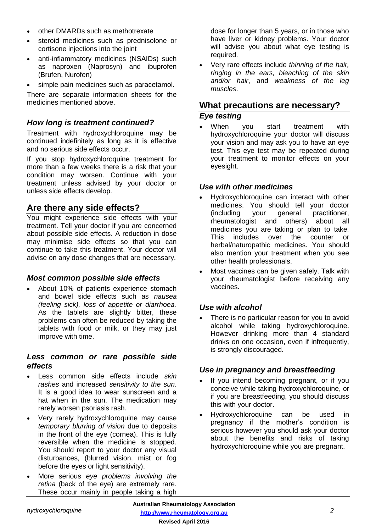- other DMARDs such as methotrexate
- steroid medicines such as prednisolone or cortisone injections into the joint
- anti-inflammatory medicines (NSAIDs) such as naproxen (Naprosyn) and ibuprofen (Brufen, Nurofen)
- simple pain medicines such as paracetamol.

There are separate information sheets for the medicines mentioned above.

#### *How long is treatment continued?*

Treatment with hydroxychloroquine may be continued indefinitely as long as it is effective and no serious side effects occur.

If you stop hydroxychloroquine treatment for more than a few weeks there is a risk that your condition may worsen. Continue with your treatment unless advised by your doctor or unless side effects develop.

## **Are there any side effects?**

You might experience side effects with your treatment. Tell your doctor if you are concerned about possible side effects. A reduction in dose may minimise side effects so that you can continue to take this treatment. Your doctor will advise on any dose changes that are necessary.

#### *Most common possible side effects*

• About 10% of patients experience stomach and bowel side effects such as *nausea (feeling sick), loss of appetite or diarrhoea.* As the tablets are slightly bitter, these problems can often be reduced by taking the tablets with food or milk, or they may just improve with time.

#### *Less common or rare possible side effects*

- Less common side effects include *skin rashes* and increased *sensitivity to the sun*. It is a good idea to wear sunscreen and a hat when in the sun. The medication may rarely worsen psoriasis rash.
- Very rarely hydroxychloroquine may cause *temporary blurring of vision* due to deposits in the front of the eye (cornea). This is fully reversible when the medicine is stopped. You should report to your doctor any visual disturbances, (blurred vision, mist or fog before the eyes or light sensitivity).
- More serious *eye problems involving the retina* (back of the eye) are extremely rare. These occur mainly in people taking a high

dose for longer than 5 years, or in those who have liver or kidney problems. Your doctor will advise you about what eye testing is required.

• Very rare effects include *thinning of the hair, ringing in the ears, bleaching of the skin and/or hair*, and *weakness of the leg muscles*.

# **What precautions are necessary?**

#### *Eye testing*

When you start treatment with hydroxychloroquine your doctor will discuss your vision and may ask you to have an eye test. This eye test may be repeated during your treatment to monitor effects on your eyesight.

#### *Use with other medicines*

- Hydroxychloroquine can interact with other medicines. You should tell your doctor (including your general practitioner, rheumatologist and others) about all medicines you are taking or plan to take. This includes over the counter or herbal/naturopathic medicines. You should also mention your treatment when you see other health professionals.
- Most vaccines can be given safely. Talk with your rheumatologist before receiving any vaccines.

#### *Use with alcohol*

There is no particular reason for you to avoid alcohol while taking hydroxychloroquine. However drinking more than 4 standard drinks on one occasion, even if infrequently, is strongly discouraged.

#### *Use in pregnancy and breastfeeding*

- If you intend becoming pregnant, or if you conceive while taking hydroxychloroquine, or if you are breastfeeding, you should discuss this with your doctor.
- Hydroxychloroquine can be used in pregnancy if the mother's condition is serious however you should ask your doctor about the benefits and risks of taking hydroxychloroquine while you are pregnant.